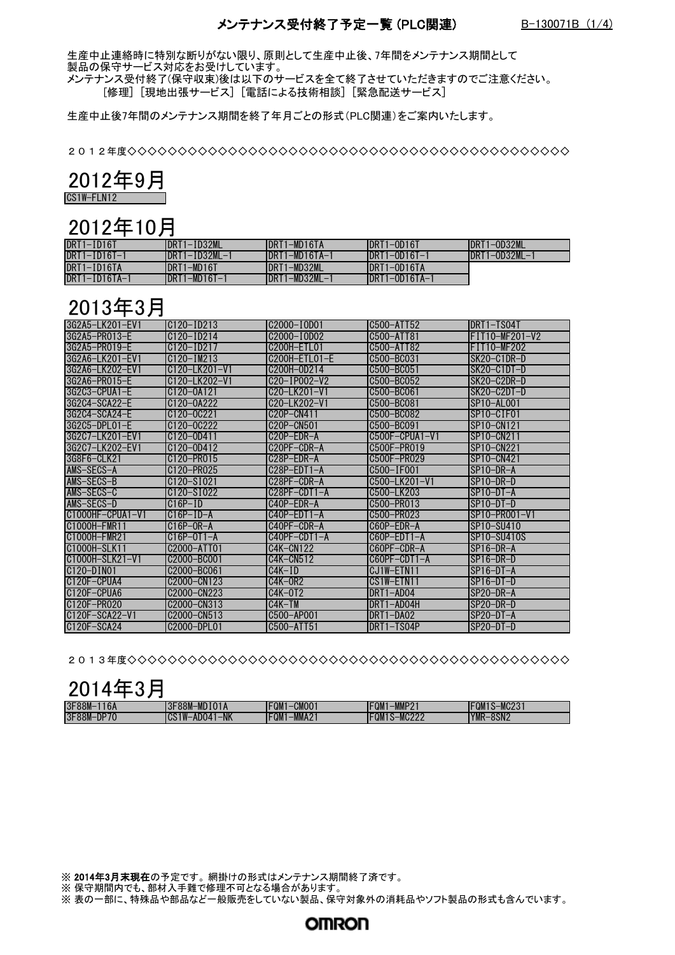#### メンテナンス受付終了予定一覧 (PLC関連) B-130071B (1/4)

生産中止連絡時に特別な断りがない限り、原則として生産中止後、7年間をメンテナンス期間として 製品の保守サービス対応をお受けしています。

メンテナンス受付終了(保守収束)後は以下のサービスを全て終了させていただきますのでご注意ください。 [修理] [現地出張サービス] [電話による技術相談] [緊急配送サービス]

生産中止後7年間のメンテナンス期間を終了年月ごとの形式(PLC関連)をご案内いたします。

2012年度◇◇◇◇◇◇◇◇◇◇◇◇◇◇◇◇◇◇◇◇◇◇◇◇◇◇◇◇◇◇◇◇◇◇◇◇◇◇◇◇◇◇◇◇◇◇

| c<br>l J         |  |
|------------------|--|
| 1W-FI N12<br>CS. |  |

#### 2012年10月

| DRT1-ID16T          | <b>IDRT1-ID32ML</b> | IDRT1-MD16TA     | DRT1-0D16T           | IDRT1-0D32ML         |
|---------------------|---------------------|------------------|----------------------|----------------------|
| $DRT1 - ID16T - 1$  | $IDRT1-ID32ML-1$    | $IDRT1-MD16TA-1$ | $IDRT1 - OD16T - 1$  | $IDRT1 - OD32ML - 1$ |
| DRT1-ID16TA         | IDRT1-MD16T         | IDRT1-MD32ML     | IDRT1-OD16TA         |                      |
| $DRT1 - ID16TA - 1$ | $IDRT1-MD16T-1$     | IDRT1-MD32ML-1   | $IDRT1 - OD16TA - 1$ |                      |

### 2013年3月

| 3G2A5-LK201-EV1     | $C120 - ID213$                                       | C2000-I0D01                                         | C500-ATT52       | DRT1-TS04T                          |
|---------------------|------------------------------------------------------|-----------------------------------------------------|------------------|-------------------------------------|
| 3G2A5-PR013-F       | $C120 - ID214$                                       | C <sub>2000</sub> -10D <sub>02</sub>                | C500-ATT81       | FIT10-MF201-V2                      |
| 3G2A5-PR019-F       | C <sub>120</sub> -I <sub>D217</sub>                  | C200H-FTI 01                                        | C500-ATT82       | FIT10-MF202                         |
| I3G2A6−I K201−FV1   | $C120 - I M213$                                      | C200H-FTI 01-F                                      | C500-BC031       | SK20-C1DR-D                         |
| 3G2A6-LK202-FV1     | C <sub>120</sub> -1 K <sub>201</sub> -V <sub>1</sub> | C200H-0D214                                         | C500-BC051       | ISK20-C1DT-D                        |
| 3G2A6-PR015-F       | C <sub>120</sub> -1 K <sub>202</sub> -V <sub>1</sub> | C20-IP002-V2                                        | C500-BC052       | SK20-C2DR-D                         |
| 3G2C3-CPUA1-F       | C <sub>120</sub> -0A <sub>121</sub>                  | C <sub>20</sub> -1 K <sub>201</sub> -V <sub>1</sub> | C500-BC061       | ISK20-C2DT-D                        |
| $362C4 - SCA22 - F$ | C120-0A222                                           | $C20 - 1K202 - V1$                                  | C500-BC081       | SP10-AL001                          |
| 3G2C4-SCA24-F       | C <sub>120</sub> -0C <sub>221</sub>                  | C20P-CN411                                          | C500-BC082       | SP <sub>10</sub> -CIF <sub>01</sub> |
| 3G2C5-DPI 01-F      | C <sub>120</sub> -0C <sub>222</sub>                  | C20P-CN501                                          | C500-BC091       | SP10-CN121                          |
| 3G2C7-LK201-FV1     | C120-0D411                                           | C20P-FDR-A                                          | $C500F-CPUA1-V1$ | SP10-CN211                          |
| 36207-1 K202-FV1    | C <sub>120</sub> -0D <sub>412</sub>                  | C <sub>20</sub> PF-CDR-A                            | C500F-PR019      | SP10-CN221                          |
| 3G8F6-CI K21        | C120-PR015                                           | C <sub>28</sub> P-FDR-A                             | C500F-PR029      | SP10-CN421                          |
| AMS-SFCS-A          | C120-PR025                                           | C <sub>28</sub> P-EDT <sub>1</sub> -A               | C500-IF001       | SP10-DR-A                           |
| AMS-SECS-B          | C120-S1021                                           | C28PF-CDR-A                                         | C500-I K201-V1   | $SP10-DR-D$                         |
| AMS-SFCS-C          | C <sub>120</sub> -S <sub>1022</sub>                  | C28PF-CDT1-A                                        | C500-I K203      | SP10-DT-A                           |
| AMS-SFCS-D          | $C16P-ID$                                            | C40P-EDR-A                                          | C500-PR013       | $SP10-DT-D$                         |
| $C1000HF-CPUA1-V1$  | $C16P-ID-A$                                          | $C40P-FDT1-A$                                       | C500-PR023       | SP10-PR001-V1                       |
| C1000H-FMR11        | $C16P-OR-A$                                          | C40PF-CDR-A                                         | C60P-FDR-A       | SP10-SU410                          |
| C1000H-FMR21        | $C16P-0T1-A$                                         | $C40PF-CDT1-A$                                      | $C60P-FDT1-A$    | SP10-SU410S                         |
| C1000H-SI K11       | C2000-ATT01                                          | $C4K-CN122$                                         | C60PF-CDR-A      | $SP16-DR-A$                         |
| C1000H-SI K21-V1    | C2000-BC001                                          | C4K-CN512                                           | $C60PF-CDT1-A$   | $SP16-DR-D$                         |
| $C120 - D1N01$      | C2000-BC061                                          | $C4K-ID$                                            | CJ1W-FTN11       | $SP16-DT-A$                         |
| $C120F - CPIIAA$    | C2000-CN123                                          | $C4K-OR2$                                           | CS1W-FTN11       | $SP16-DT-D$                         |
| C120F-CPUA6         | C2000-CN223                                          | $C4K-0T2$                                           | DRT1-AD04        | $SP20-DR-A$                         |
| C120F-PR020         | C2000-CN313                                          | C4K-TM                                              | DRT1-AD04H       | ISP20-DR-D                          |
| C120F-SCA22-V1      | C2000-CN513                                          | C500-AP001                                          | DRT1-DA02        | $SP20-DT-A$                         |
| C120F-SCA24         | C2000-DPI 01                                         | C500-ATT51                                          | DRT1-TS04P       | $SP20-DT-D$                         |

2013年度◇◇◇◇◇◇◇◇◇◇◇◇◇◇◇◇◇◇◇◇◇◇◇◇◇◇◇◇◇◇◇◇◇◇◇◇◇◇◇◇◇◇◇◇◇◇

| - 4<br>=<br><b>*</b><br>1.<br>() 1<br>▼ |  |
|-----------------------------------------|--|
|-----------------------------------------|--|

| 3F88M-<br>$\sim$<br>16A | <b>MDIO1A</b><br><sup>∓88M</sup><br>$\sim$<br>$\mathbf{u}$ | <b>FQM</b><br><b>CMOO</b>      | MMDO<br>$- - - -$<br>™GM.<br>IVIIVII<br>-                       | MC231<br><b>FQM</b> |
|-------------------------|------------------------------------------------------------|--------------------------------|-----------------------------------------------------------------|---------------------|
| $-DP70$<br>3F88M        | $-NK$<br><b>TIM</b><br>ADO4                                | $-MMA2$<br><b>EALL</b><br>-QM. | $\mathbf{M}\cap\mathbf{M}\cap\mathbf{M}$<br>EQ⊮<br><b>MUZZZ</b> | YMR-<br>8SN2        |

※ 2014年3月末現在の予定です。 網掛けの形式はメンテナンス期間終了済です。

※ 保守期間内でも、部材入手難で修理不可となる場合があります。

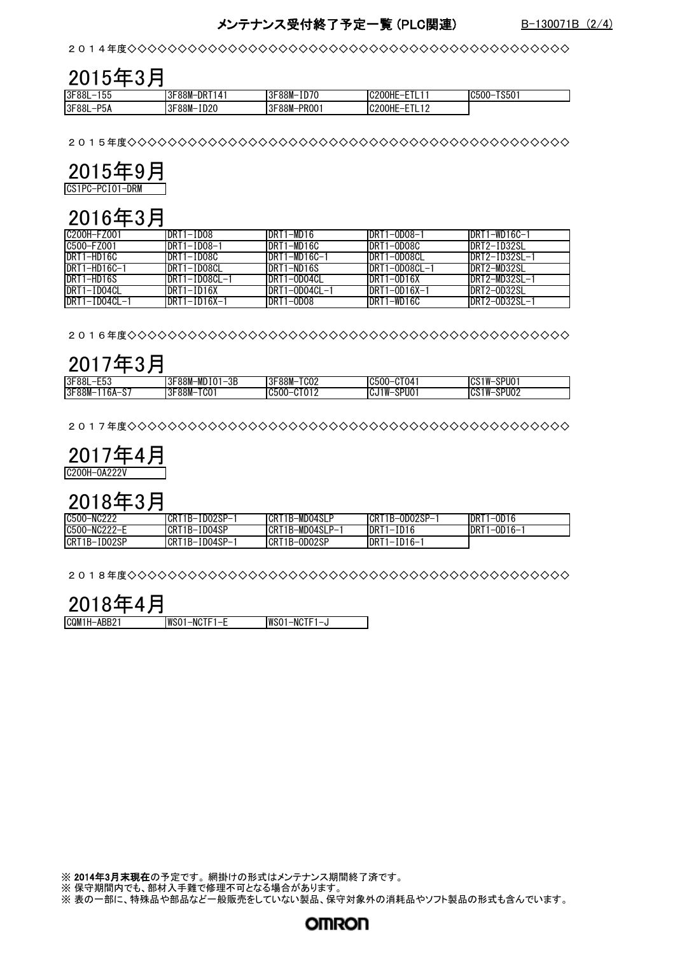#### メンテナンス受付終了予定一覧 (PLC関連) B-130071B (2/4)

2014年度◇◇◇◇◇◇◇◇◇◇◇◇◇◇◇◇◇◇◇◇◇◇◇◇◇◇◇◇◇◇◇◇◇◇◇◇◇◇◇◇◇◇◇◇◇◇

#### $\frac{2015年3月[3F88L-155 |3F88M-DRT141$ 3F88L-155 3F88M-DRT141 3F88M-ID70 C200HE-ETL11 C500-TS501 3F88L-P5A 3F88M-ID20 3F88M-PRO01 C200HE-ETL12

2015年度◇◇◇◇◇◇◇◇◇◇◇◇◇◇◇◇◇◇◇◇◇◇◇◇◇◇◇◇◇◇◇◇◇◇◇◇◇◇◇◇◇◇◇◇◇◇



### 2016年3月

| C200H-FZ001    | DRT1-ID08          | DRT1-MD16      | DRT1-0D08-1        | DRT1-WD16C-1   |
|----------------|--------------------|----------------|--------------------|----------------|
| C500-FZ001     | DRT1-ID08-1        | DRT1-MD16C     | DRT1-0D08C         | IDRT2-TD32SL   |
| DRT1-HD16C     | DRT1-ID08C         | DRT1-MD16C-1   | DRT1-0D08CL        | IDRT2-ID32SL-1 |
| $DRT1-HD16C-1$ | DRT1-ID08CL        | DRT1-ND16S     | DRT1-0D08CL-1      | DRT2-MD32SL    |
| DRT1-HD16S     | DRT1-ID08CL-1      | DRT1-0D04CL    | $DRT1 - OD16X$     | IDRT2-MD32SL-1 |
| DRT1-ID04CL    | DRT1-ID16X         | IDRT1-OD04CL-1 | $DRT1 - OD16X - 1$ | DRT2-0D32SL    |
| DRT1-ID04CL-1  | $DRT1 - ID16X - 1$ | DRT1-0D08      | DRT1-WD16C         | DRT2-0D32SL-1  |

2016年度◇◇◇◇◇◇◇◇◇◇◇◇◇◇◇◇◇◇◇◇◇◇◇◇◇◇◇◇◇◇◇◇◇◇◇◇◇◇◇◇◇◇◇◇◇◇

|  | 2017年3月 |
|--|---------|
|--|---------|

|                                  | . .                                                                                  |                                   |                                     |                                                  |
|----------------------------------|--------------------------------------------------------------------------------------|-----------------------------------|-------------------------------------|--------------------------------------------------|
| 3F88L<br>--^<br>--<br>∟ບບ        | -MD<br><sup>∓88M</sup><br>$\bigcap$<br>$\sim$<br>ΩE<br>- 21<br>. –<br>υE<br>I O<br>v | $3F88M-T$<br><b>TODD</b><br>' vvz | CT04<br>C500<br>כטו<br>$-$          | <b>SPUO</b><br>∶1 W<br>$\sim$<br>_<br>I VV<br>υú |
| 3F88M-<br>$\sim$<br>16A-.<br>ر ن | TM<br>-88M-,<br>$\bigcap$<br>יטו<br>νν                                               | <b>CT012</b><br>C500<br>$-$       | <b>SPUO</b><br>'1 W<br>I UU<br>I VV | SPU02<br>`1W– .<br>$\sim$<br>- 11<br>υú          |

2017年度◇◇◇◇◇◇◇◇◇◇◇◇◇◇◇◇◇◇◇◇◇◇◇◇◇◇◇◇◇◇◇◇◇◇◇◇◇◇◇◇◇◇◇◇◇◇

| IC200H-0A222V |  |
|---------------|--|

# 2018年3月

| C500-NC222           | CRT1B-ID02SP- | CRT1B-MD04SLP        | CRT1B-0D02SP-1                        | 1-0D16<br>DRT  |  |
|----------------------|---------------|----------------------|---------------------------------------|----------------|--|
| C500-NC222-E         | CRT1B-ID04SP  | ICRT<br>1B-MD04SLP-1 | DRT1<br>ID16<br>$\epsilon = \epsilon$ | DRT<br>1-0D16- |  |
| $CRT1B-I$<br>-ID02SP | CRT1B-ID04SP- | CRT1B-OD02SP         | DRT <sub>1</sub><br>1-ID16-1          |                |  |

2018年度◇◇◇◇◇◇◇◇◇◇◇◇◇◇◇◇◇◇◇◇◇◇◇◇◇◇◇◇◇◇◇◇◇◇◇◇◇◇◇◇◇◇◇◇◇◇

| 2018年4月     |                |              |  |
|-------------|----------------|--------------|--|
| CQM1H-ABB21 | $WSO1-NCTF1-E$ | WS01-NCTF1-J |  |

※ 2014年3月末現在の予定です。 網掛けの形式はメンテナンス期間終了済です。

※ 保守期間内でも、部材入手難で修理不可となる場合があります。

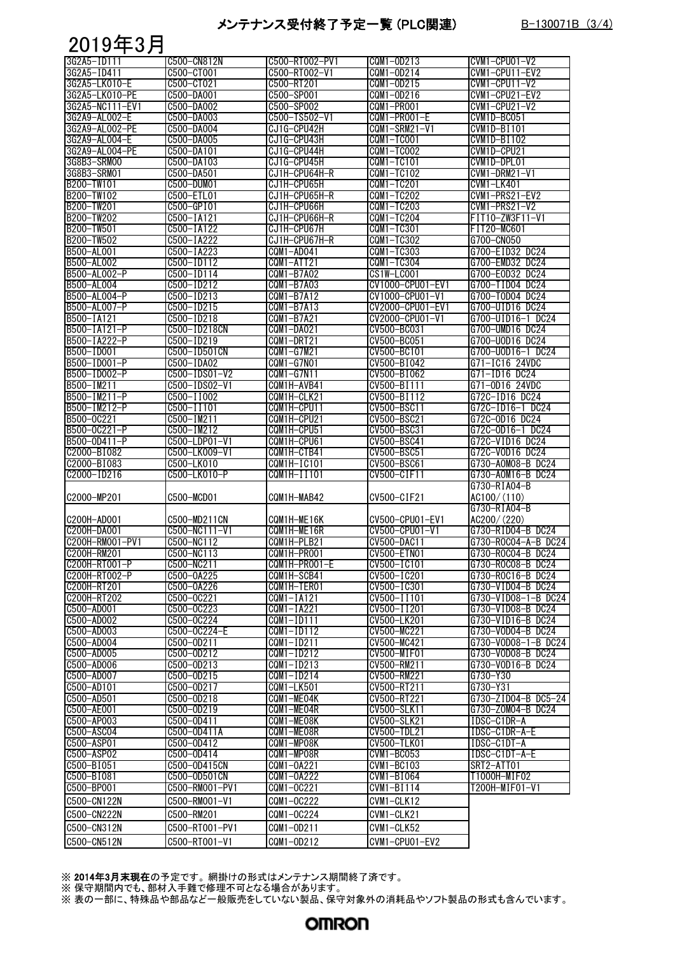#### メンテナンス受付終了予定一覧 (PLC関連) B-130071B (3/4)

### 2019年3月

| 3G2A5-ID111     | C500-CN812N     | C500-RT002-PV1 | CQM1-0D213         | CVM1-CPU01-V2       |
|-----------------|-----------------|----------------|--------------------|---------------------|
| 3G2A5-ID411     | C500-CT001      | C500-RT002-V1  | CQM1-0D214         | CVM1-CPU11-EV2      |
| 3G2A5-LK010-E   | C500-CT021      | C500-RT201     | CQM1-0D215         | CVM1-CPU11-V2       |
| 3G2A5-LK010-PE  | C500-DA001      | C500-SP001     | CQM1-0D216         | CVM1-CPU21-EV2      |
| 3G2A5-NC111-EV1 | C500-DA002      | C500-SP002     | CQM1-PR001         | CVM1-CPU21-V2       |
|                 |                 |                |                    |                     |
| 3G2A9-AL002-E   | C500-DA003      | C500-TS502-V1  | CQM1-PR001-E       | CVM1D-BC051         |
| 3G2A9-AL002-PE  | C500-DA004      | CJ1G-CPU42H    | CQM1-SRM21-V1      | <b>CVM1D-BI101</b>  |
| 3G2A9-AL004-E   | C500-DA005      | CJ1G-CPU43H    | CQM1-TC001         | CVM1D-BI102         |
| 3G2A9-AL004-PE  | C500-DA101      | CJ1G-CPU44H    | CQM1-TC002         | CVM1D-CPU21         |
| 3G8B3-SRM00     | C500-DA103      | CJ1G-CPU45H    | CQM1-TC101         | CVM1D-DPL01         |
| 3G8B3-SRM01     | C500-DA501      | CJ1H-CPU64H-R  | CQM1-TC102         | $CVM1-DRM21-V1$     |
| B200-TW101      | C500-DUM01      | CJ1H-CPU65H    | CQM1-TC201         | CVM1-LK401          |
| B200-TW102      | C500-ETL01      | CJ1H-CPU65H-R  | CQM1-TC202         | CVM1-PRS21-EV2      |
| B200-TW201      | C500-GP101      | CJ1H-CPU66H    | CQM1-TC203         | CVM1-PRS21-V2       |
|                 |                 |                |                    |                     |
| B200-TW202      | C500-IA121      | CJ1H-CPU66H-R  | CQM1-TC204         | FIT10-ZW3F11-V1     |
| B200-TW501      | C500-IA122      | CJ1H-CPU67H    | CQM1-TC301         | FIT20-MC601         |
| B200-TW502      | C500-IA222      | CJ1H-CPU67H-R  | CQM1-TC302         | G700-CN050          |
| B500-AL001      | C500-IA223      | CQM1-AD041     | CQM1-TC303         | G700-EID32 DC24     |
| B500-AL002      | C500-ID112      | CQM1-ATT21     | CQM1-TC304         | G700-EMD32 DC24     |
| B500-AL002-P    | C500-ID114      | CQM1-B7A02     | CS1W-LC001         | G700-E0D32 DC24     |
| B500-AL004      | C500-ID212      | CQM1-B7A03     | CV1000-CPU01-EV1   | G700-TID04 DC24     |
| B500-AL004-P    | C500-ID213      | CQM1-B7A12     | CV1000-CPU01-V1    | G700-T0D04 DC24     |
| B500-AL007-P    | $C500 - I D215$ | CQM1-B7A13     | CV2000-CPU01-EV1   | G700-UID16 DC24     |
| B500-IA121      |                 | CQM1-B7A21     | CV2000-CPU01-V1    |                     |
|                 | C500-ID218      |                |                    | G700-UID16-1 DC24   |
| B500-IA121-P    | C500-ID218CN    | CQM1-DA021     | CV500-BC031        | G700-UMD16 DC24     |
| B500-IA222-P    | C500-ID219      | CQM1-DRT21     | CV500-BC051        | G700-U0D16 DC24     |
| B500-ID001      | C500-ID501CN    | CQM1-G7M21     | CV500-BC101        | G700-U0D16-1 DC24   |
| B500-ID001-P    | C500-IDA02      | CQM1-G7N01     | CV500-BI042        | G71-IC16 24VDC      |
| B500-ID002-P    | C500-IDS01-V2   | CQM1-G7N11     | CV500-B1062        | G71-ID16 DC24       |
| B500-IM211      | C500-IDS02-V1   | CQM1H-AVB41    | CV500-BI111        | G71-0D16 24VDC      |
| B500-IM211-P    | C500-II002      | CQM1H-CLK21    | CV500-BI112        | G72C-ID16 DC24      |
| B500-IM212-P    | C500-II101      | CQM1H-CPU11    | CV500-BSC11        | G72C-ID16-1 DC24    |
|                 |                 |                |                    |                     |
| B500-0C221      | C500-IM211      | CQM1H-CPU21    | CV500-BSC21        | G72C-0D16 DC24      |
| B500-0C221-P    | $C500 - IM212$  | CQM1H-CPU51    | CV500-BSC31        | G72C-0D16-1 DC24    |
| B500-0D411-P    | C500-LDP01-V1   | CQM1H-CPU61    | CV500-BSC41        | G72C-VID16 DC24     |
| C2000-BI082     | C500-LK009-V1   | CQM1H-CTB41    | CV500-BSC51        | G72C-VOD16 DC24     |
| C2000-BI083     | C500-LK010      | CQM1H-IC101    | CV500-BSC61        | G730-A0M08-B DC24   |
| C2000-ID216     | C500-LK010-P    | CQM1H-II101    | CV500-CIF11        | G730-A0M16-B DC24   |
|                 |                 |                |                    | G730-RIA04-B        |
| C2000-MP201     | C500-MCD01      | CQM1H-MAB42    | CV500-CIF21        | AC100/(110)         |
|                 |                 |                |                    | G730-RIA04-B        |
|                 |                 |                |                    |                     |
| C200H-AD001     | C500-MD211CN    | CQM1H-ME16K    | CV500-CPU01-EV1    | AC200/(220)         |
| C200H-DA001     | C500-NC111-V1   | CQM1H-ME16R    | CV500-CPU01-V1     | G730-RID04-B DC24   |
| C200H-RM001-PV1 | C500-NC112      | CQM1H-PLB21    | <b>CV500-DAC11</b> | G730-R0C04-A-B DC24 |
| C200H-RM201     | C500-NC113      | CQM1H-PR001    | CV500-ETN01        | G730-R0C04-B DC24   |
| C200H-RT001-P   | C500-NC211      | CQM1H-PRO01-E  | CV500-IC101        | G730-R0C08-B DC24   |
| C200H-RT002-P   | C500-0A225      | CQM1H-SCB41    | CV500-IC201        | G730-R0C16-B DC24   |
| C200H-RT201     | C500-0A226      | CQM1H-TER01    | CV500-IC301        | G730-VID04-B DC24   |
| C200H-RT202     | C500-0C221      | $CQM1-IA121$   | CV500-II101        | G730-VID08-1-B DC24 |
| C500-AD001      | C500-0C223      | $CQM1-IA221$   | CV500-II201        | G730-VID08-B DC24   |
|                 |                 |                |                    |                     |
| C500-AD002      | C500-0C224      | $CQM1-ID111$   | CV500-LK201        | G730-VID16-B DC24   |
| C500-AD003      | C500-0C224-E    | $CQM1-ID112$   | CV500-MC221        | G730-V0D04-B DC24   |
| C500-AD004      | C500-0D211      | CQM1-ID211     | CV500-MC421        | G730-V0D08-1-B DC24 |
| C500-AD005      | C500-0D212      | $CQM1-ID212$   | CV500-MIF01        | G730-V0D08-B DC24   |
| C500-AD006      | C500-0D213      | $CQM1-ID213$   | CV500-RM211        | G730-V0D16-B DC24   |
| C500-AD007      | C500-0D215      | $CQM1-ID214$   | CV500-RM221        | G730-Y30            |
| C500-AD101      | C500-0D217      | CQM1-LK501     | CV500-RT211        | G730-Y31            |
| C500-AD501      | C500-0D218      | CQM1-ME04K     | CV500-RT221        | G730-ZID04-B DC5-24 |
| C500-AE001      | C500-0D219      | CQM1-ME04R     | CV500-SLK11        | G730-Z0M04-B DC24   |
| C500-AP003      | C500-0D411      | CQM1-ME08K     | CV500-SLK21        | IDSC-C1DR-A         |
|                 |                 |                |                    |                     |
| C500-ASC04      | C500-0D411A     | CQM1-ME08R     | CV500-TDL21        | IDSC-C1DR-A-E       |
| C500-ASP01      | C500-0D412      | CQM1-MP08K     | CV500-TLK01        | IDSC-C1DT-A         |
| C500-ASP02      | C500-0D414      | CQM1-MP08R     | $CVM1 - BC053$     | IDSC-C1DT-A-E       |
| C500-B1051      | C500-0D415CN    | CQM1-0A221     | CVM1-BC103         | SRT2-ATT01          |
| C500-B1081      | C500-0D501CN    | CQM1-0A222     | CVM1-BI064         | T1000H-MIF02        |
| C500-BP001      | C500-RM001-PV1  | CQM1-0C221     | $CVM1-BI114$       | T200H-MIF01-V1      |
| C500-CN122N     | C500-RM001-V1   | CQM1-0C222     | CVM1-CLK12         |                     |
|                 |                 |                |                    |                     |
| C500-CN222N     | C500-RM201      | CQM1-0C224     | CVM1-CLK21         |                     |
|                 |                 |                |                    |                     |
| C500-CN312N     | C500-RT001-PV1  | CQM1-0D211     | CVM1-CLK52         |                     |
| C500-CN512N     | C500-RT001-V1   | CQM1-0D212     | CVM1-CPU01-EV2     |                     |

※ 2014年3月末現在の予定です。 網掛けの形式はメンテナンス期間終了済です。

※ 保守期間内でも、部材入手難で修理不可となる場合があります。